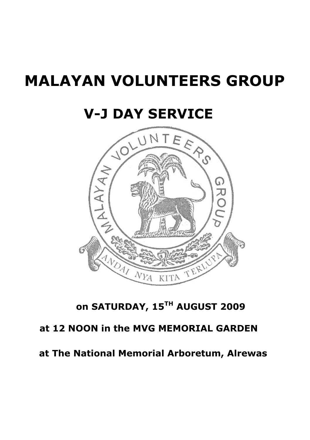# **MALAYAN VOLUNTEERS GROUP**

## **V-J DAY SERVICE**



## **on SATURDAY, 15TH AUGUST 2009**

## **at 12 NOON in the MVG MEMORIAL GARDEN**

### **at The National Memorial Arboretum, Alrewas**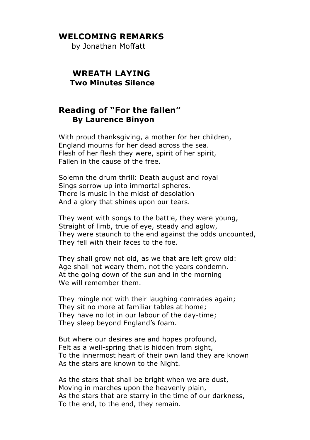#### **WELCOMING REMARKS**

by Jonathan Moffatt

#### **WREATH LAYING Two Minutes Silence**

#### **Reading of "For the fallen" By Laurence Binyon**

With proud thanksgiving, a mother for her children, England mourns for her dead across the sea. Flesh of her flesh they were, spirit of her spirit, Fallen in the cause of the free.

Solemn the drum thrill: Death august and royal Sings sorrow up into immortal spheres. There is music in the midst of desolation And a glory that shines upon our tears.

They went with songs to the battle, they were young, Straight of limb, true of eye, steady and aglow, They were staunch to the end against the odds uncounted, They fell with their faces to the foe.

They shall grow not old, as we that are left grow old: Age shall not weary them, not the years condemn. At the going down of the sun and in the morning We will remember them.

They mingle not with their laughing comrades again; They sit no more at familiar tables at home; They have no lot in our labour of the day-time; They sleep beyond England's foam.

But where our desires are and hopes profound, Felt as a well-spring that is hidden from sight, To the innermost heart of their own land they are known As the stars are known to the Night.

As the stars that shall be bright when we are dust, Moving in marches upon the heavenly plain, As the stars that are starry in the time of our darkness, To the end, to the end, they remain.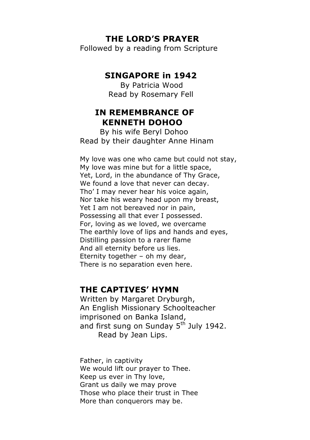#### **THE LORD'S PRAYER**

Followed by a reading from Scripture

#### **SINGAPORE in 1942**

By Patricia Wood Read by Rosemary Fell

#### **IN REMEMBRANCE OF KENNETH DOHOO**

 By his wife Beryl Dohoo Read by their daughter Anne Hinam

My love was one who came but could not stay, My love was mine but for a little space, Yet, Lord, in the abundance of Thy Grace, We found a love that never can decay. Tho' I may never hear his voice again, Nor take his weary head upon my breast, Yet I am not bereaved nor in pain, Possessing all that ever I possessed. For, loving as we loved, we overcame The earthly love of lips and hands and eyes, Distilling passion to a rarer flame And all eternity before us lies. Eternity together – oh my dear, There is no separation even here.

#### **THE CAPTIVES' HYMN**

Written by Margaret Dryburgh, An English Missionary Schoolteacher imprisoned on Banka Island, and first sung on Sunday 5<sup>th</sup> July 1942. Read by Jean Lips.

Father, in captivity We would lift our prayer to Thee. Keep us ever in Thy love, Grant us daily we may prove Those who place their trust in Thee More than conquerors may be.